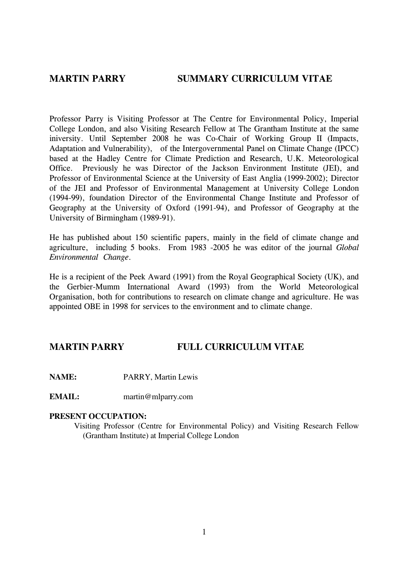# MARTIN PARRY SUMMARY CURRICULUM VITAE

Professor Parry is Visiting Professor at The Centre for Environmental Policy, Imperial College London, and also Visiting Research Fellow at The Grantham Institute at the same iniversity. Until September 2008 he was Co-Chair of Working Group II (Impacts, Adaptation and Vulnerability), of the Intergovernmental Panel on Climate Change (IPCC) based at the Hadley Centre for Climate Prediction and Research, U.K. Meteorological Office. Previously he was Director of the Jackson Environment Institute (JEI), and Professor of Environmental Science at the University of East Anglia (1999-2002); Director of the JEI and Professor of Environmental Management at University College London (1994-99), foundation Director of the Environmental Change Institute and Professor of Geography at the University of Oxford (1991-94), and Professor of Geography at the University of Birmingham (1989-91).

He has published about 150 scientific papers, mainly in the field of climate change and agriculture, including 5 books. From 1983 -2005 he was editor of the journal Global Environmental Change.

He is a recipient of the Peek Award (1991) from the Royal Geographical Society (UK), and the Gerbier-Mumm International Award (1993) from the World Meteorological Organisation, both for contributions to research on climate change and agriculture. He was appointed OBE in 1998 for services to the environment and to climate change.

# **MARTIN PARRY FULL CURRICULUM VITAE**

**NAME:** PARRY, Martin Lewis

**EMAIL:** martin@mlparry.com

### **PRESENT OCCUPATION:**

 Visiting Professor (Centre for Environmental Policy) and Visiting Research Fellow (Grantham Institute) at Imperial College London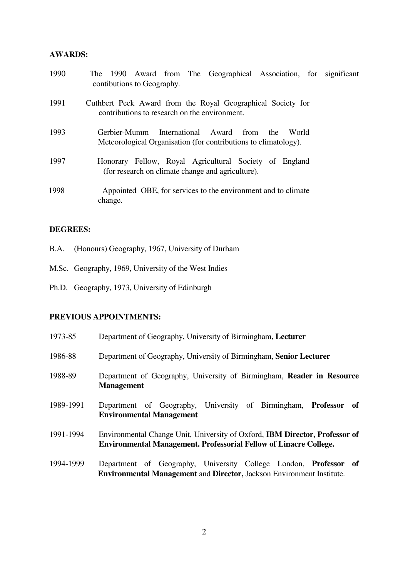#### **AWARDS:**

| 1990 | The 1990 Award from The Geographical Association, for significant<br>contibutions to Geography.                                |
|------|--------------------------------------------------------------------------------------------------------------------------------|
| 1991 | Cuthbert Peek Award from the Royal Geographical Society for<br>contributions to research on the environment.                   |
| 1993 | International Award<br>Gerbier-Mumm<br>from<br>the<br>World<br>Meteorological Organisation (for contributions to climatology). |
| 1997 | Honorary Fellow, Royal Agricultural Society of England<br>(for research on climate change and agriculture).                    |
| 1998 | Appointed OBE, for services to the environment and to climate<br>change.                                                       |

### **DEGREES:**

- B.A. (Honours) Geography, 1967, University of Durham
- M.Sc. Geography, 1969, University of the West Indies
- Ph.D. Geography, 1973, University of Edinburgh

# **PREVIOUS APPOINTMENTS:**

| 1973-85   | Department of Geography, University of Birmingham, Lecturer                                                                                                    |
|-----------|----------------------------------------------------------------------------------------------------------------------------------------------------------------|
| 1986-88   | Department of Geography, University of Birmingham, Senior Lecturer                                                                                             |
| 1988-89   | Department of Geography, University of Birmingham, Reader in Resource<br><b>Management</b>                                                                     |
| 1989-1991 | Department of Geography, University of Birmingham, Professor of<br><b>Environmental Management</b>                                                             |
| 1991-1994 | Environmental Change Unit, University of Oxford, <b>IBM Director, Professor of</b><br><b>Environmental Management. Professorial Fellow of Linacre College.</b> |
| 1994-1999 | Department of Geography, University College London, <b>Professor of</b><br><b>Environmental Management and Director, Jackson Environment Institute.</b>        |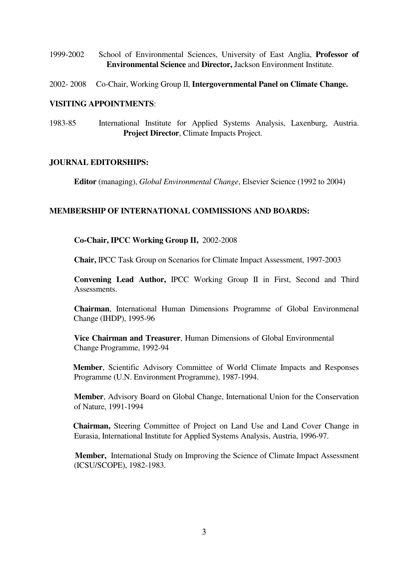- 1999-2002 School of Environmental Sciences, University of East Anglia, **Professor of Environmental Science** and **Director,** Jackson Environment Institute.
- 2002- 2008 Co-Chair, Working Group II, **Intergovernmental Panel on Climate Change.**

#### **VISITING APPOINTMENTS**:

1983-85 International Institute for Applied Systems Analysis, Laxenburg, Austria. **Project Director**, Climate Impacts Project.

### **JOURNAL EDITORSHIPS:**

**Editor** (managing), *Global Environmental Change*, Elsevier Science (1992 to 2004)

#### **MEMBERSHIP OF INTERNATIONAL COMMISSIONS AND BOARDS:**

### **Co-Chair, IPCC Working Group II,** 2002-2008

**Chair,** IPCC Task Group on Scenarios for Climate Impact Assessment, 1997-2003

**Convening Lead Author,** IPCC Working Group II in First, Second and Third Assessments.

 **Chairman**, International Human Dimensions Programme of Global Environmenal Change (IHDP), 1995-96

 **Vice Chairman and Treasurer**, Human Dimensions of Global Environmental Change Programme, 1992-94

 **Member**, Scientific Advisory Committee of World Climate Impacts and Responses Programme (U.N. Environment Programme), 1987-1994.

 **Member**, Advisory Board on Global Change, International Union for the Conservation of Nature, 1991-1994

 **Chairman,** Steering Committee of Project on Land Use and Land Cover Change in Eurasia, International Institute for Applied Systems Analysis, Austria, 1996-97.

 **Member,** International Study on Improving the Science of Climate Impact Assessment (ICSU/SCOPE), 1982-1983.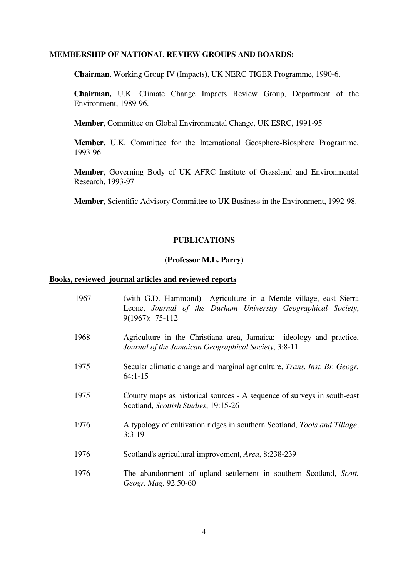#### **MEMBERSHIP OF NATIONAL REVIEW GROUPS AND BOARDS:**

 **Chairman**, Working Group IV (Impacts), UK NERC TIGER Programme, 1990-6.

 **Chairman,** U.K. Climate Change Impacts Review Group, Department of the Environment, 1989-96.

 **Member**, Committee on Global Environmental Change, UK ESRC, 1991-95

 **Member**, U.K. Committee for the International Geosphere-Biosphere Programme, 1993-96

 **Member**, Governing Body of UK AFRC Institute of Grassland and Environmental Research, 1993-97

 **Member**, Scientific Advisory Committee to UK Business in the Environment, 1992-98.

# **PUBLICATIONS**

# **(Professor M.L. Parry)**

#### **Books, reviewed journal articles and reviewed reports**

| 1967 | (with G.D. Hammond) Agriculture in a Mende village, east Sierra<br>Leone, Journal of the Durham University Geographical Society,<br>$9(1967): 75-112$ |
|------|-------------------------------------------------------------------------------------------------------------------------------------------------------|
| 1968 | Agriculture in the Christiana area, Jamaica: ideology and practice,<br>Journal of the Jamaican Geographical Society, 3:8-11                           |
| 1975 | Secular climatic change and marginal agriculture, Trans. Inst. Br. Geogr.<br>$64:1-15$                                                                |
| 1975 | County maps as historical sources - A sequence of surveys in south-east<br>Scotland, Scottish Studies, 19:15-26                                       |
| 1976 | A typology of cultivation ridges in southern Scotland, Tools and Tillage,<br>$3:3-19$                                                                 |
| 1976 | Scotland's agricultural improvement, <i>Area</i> , 8:238-239                                                                                          |
| 1976 | The abandonment of upland settlement in southern Scotland, Scott.<br>Geogr. Mag. 92:50-60                                                             |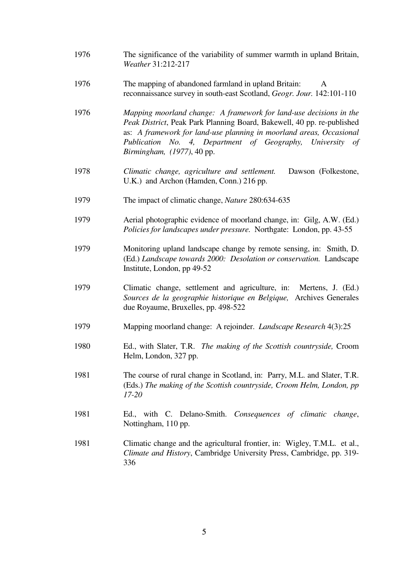| 1976 | The significance of the variability of summer warmth in upland Britain,<br>Weather 31:212-217                                                                                                                                                                                                                  |
|------|----------------------------------------------------------------------------------------------------------------------------------------------------------------------------------------------------------------------------------------------------------------------------------------------------------------|
| 1976 | The mapping of abandoned farmland in upland Britain:<br>A<br>reconnaissance survey in south-east Scotland, Geogr. Jour. 142:101-110                                                                                                                                                                            |
| 1976 | Mapping moorland change: A framework for land-use decisions in the<br>Peak District, Peak Park Planning Board, Bakewell, 40 pp. re-published<br>as: A framework for land-use planning in moorland areas, Occasional<br>Publication No. 4, Department of Geography, University of<br>Birmingham, (1977), 40 pp. |
| 1978 | Climatic change, agriculture and settlement.<br>Dawson (Folkestone,<br>U.K.) and Archon (Hamden, Conn.) 216 pp.                                                                                                                                                                                                |
| 1979 | The impact of climatic change, <i>Nature</i> 280:634-635                                                                                                                                                                                                                                                       |
| 1979 | Aerial photographic evidence of moorland change, in: Gilg, A.W. (Ed.)<br>Policies for landscapes under pressure. Northgate: London, pp. 43-55                                                                                                                                                                  |
| 1979 | Monitoring upland landscape change by remote sensing, in: Smith, D.<br>(Ed.) Landscape towards 2000: Desolation or conservation. Landscape<br>Institute, London, pp 49-52                                                                                                                                      |
| 1979 | Climatic change, settlement and agriculture, in:<br>Mertens, J. (Ed.)<br>Sources de la geographie historique en Belgique,<br>Archives Generales<br>due Royaume, Bruxelles, pp. 498-522                                                                                                                         |
| 1979 | Mapping moorland change: A rejoinder. <i>Landscape Research</i> 4(3):25                                                                                                                                                                                                                                        |
| 1980 | Ed., with Slater, T.R. The making of the Scottish countryside, Croom<br>Helm, London, 327 pp.                                                                                                                                                                                                                  |
| 1981 | The course of rural change in Scotland, in: Parry, M.L. and Slater, T.R.<br>(Eds.) The making of the Scottish countryside, Croom Helm, London, pp<br>$17 - 20$                                                                                                                                                 |
| 1981 | Ed., with C. Delano-Smith. Consequences of climatic change,<br>Nottingham, 110 pp.                                                                                                                                                                                                                             |
| 1981 | Climatic change and the agricultural frontier, in: Wigley, T.M.L. et al.,<br>Climate and History, Cambridge University Press, Cambridge, pp. 319-<br>336                                                                                                                                                       |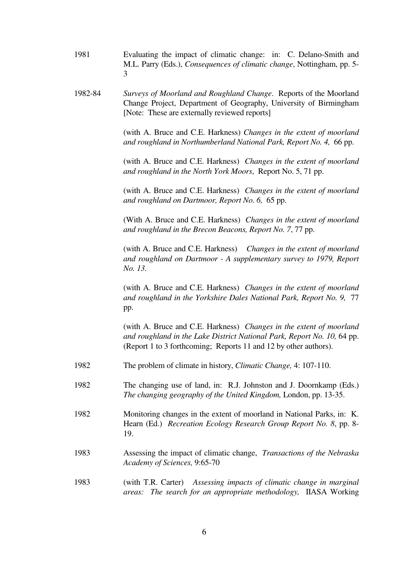| 1981 | Evaluating the impact of climatic change: in: C. Delano-Smith and              |
|------|--------------------------------------------------------------------------------|
|      | M.L. Parry (Eds.), <i>Consequences of climatic change</i> , Nottingham, pp. 5- |
|      |                                                                                |

 1982-84 *Surveys of Moorland and Roughland Change*. Reports of the Moorland Change Project, Department of Geography, University of Birmingham [Note: These are externally reviewed reports]

> (with A. Bruce and C.E. Harkness) *Changes in the extent of moorland and roughland in Northumberland National Park, Report No. 4,* 66 pp.

> (with A. Bruce and C.E. Harkness) *Changes in the extent of moorland and roughland in the North York Moors*, Report No. 5, 71 pp.

> (with A. Bruce and C.E. Harkness) *Changes in the extent of moorland and roughland on Dartmoor, Report No. 6,* 65 pp.

> (With A. Bruce and C.E. Harkness) *Changes in the extent of moorland and roughland in the Brecon Beacons, Report No. 7*, 77 pp.

> (with A. Bruce and C.E. Harkness) *Changes in the extent of moorland and roughland on Dartmoor - A supplementary survey to 1979, Report No. 13.*

> (with A. Bruce and C.E. Harkness) *Changes in the extent of moorland and roughland in the Yorkshire Dales National Park, Report No. 9,* 77 pp.

> (with A. Bruce and C.E. Harkness) *Changes in the extent of moorland and roughland in the Lake District National Park, Report No. 10,* 64 pp. (Report 1 to 3 forthcoming; Reports 11 and 12 by other authors).

- 1982 The problem of climate in history, *Climatic Change,* 4: 107-110.
- 1982 The changing use of land, in: R.J. Johnston and J. Doornkamp (Eds.) *The changing geography of the United Kingdom,* London, pp. 13-35.
- 1982 Monitoring changes in the extent of moorland in National Parks, in: K. Hearn (Ed.) *Recreation Ecology Research Group Report No. 8*, pp. 8- 19.
- 1983 Assessing the impact of climatic change, *Transactions of the Nebraska Academy of Sciences,* 9:65-70
- 1983 (with T.R. Carter) *Assessing impacts of climatic change in marginal areas: The search for an appropriate methodology,* IIASA Working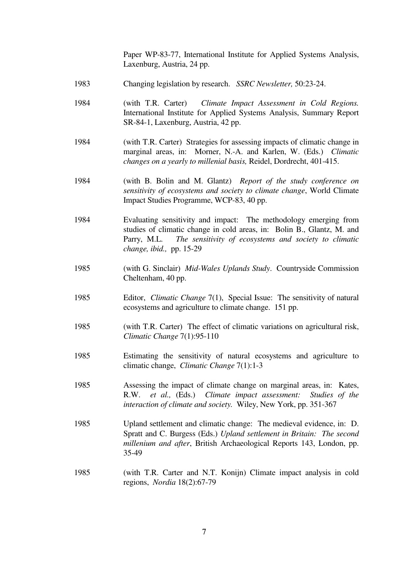Paper WP-83-77, International Institute for Applied Systems Analysis, Laxenburg, Austria, 24 pp.

- 1983 Changing legislation by research. *SSRC Newsletter,* 50:23-24.
- 1984 (with T.R. Carter) *Climate Impact Assessment in Cold Regions.* International Institute for Applied Systems Analysis, Summary Report SR-84-1, Laxenburg, Austria, 42 pp.
- 1984 (with T.R. Carter) Strategies for assessing impacts of climatic change in marginal areas, in: Morner, N.-A. and Karlen, W. (Eds.) *Climatic changes on a yearly to millenial basis,* Reidel, Dordrecht, 401-415.
- 1984 (with B. Bolin and M. Glantz) *Report of the study conference on sensitivity of ecosystems and society to climate change*, World Climate Impact Studies Programme, WCP-83, 40 pp.
- 1984 Evaluating sensitivity and impact: The methodology emerging from studies of climatic change in cold areas, in: Bolin B., Glantz, M. and Parry, M.L. *The sensitivity of ecosystems and society to climatic change, ibid.,* pp. 15-29
- 1985 (with G. Sinclair) *Mid-Wales Uplands Study*. Countryside Commission Cheltenham, 40 pp.
- 1985 Editor, *Climatic Change* 7(1), Special Issue: The sensitivity of natural ecosystems and agriculture to climate change. 151 pp.
- 1985 (with T.R. Carter) The effect of climatic variations on agricultural risk, *Climatic Change* 7(1):95-110
- 1985 Estimating the sensitivity of natural ecosystems and agriculture to climatic change, *Climatic Change* 7(1):1-3
- 1985 Assessing the impact of climate change on marginal areas, in: Kates, R.W. *et al.,* (Eds.) *Climate impact assessment: Studies of the interaction of climate and society.* Wiley, New York, pp. 351-367
- 1985 Upland settlement and climatic change: The medieval evidence, in: D. Spratt and C. Burgess (Eds.) *Upland settlement in Britain: The second millenium and after*, British Archaeological Reports 143, London, pp. 35-49
- 1985 (with T.R. Carter and N.T. Konijn) Climate impact analysis in cold regions, *Nordia* 18(2):67-79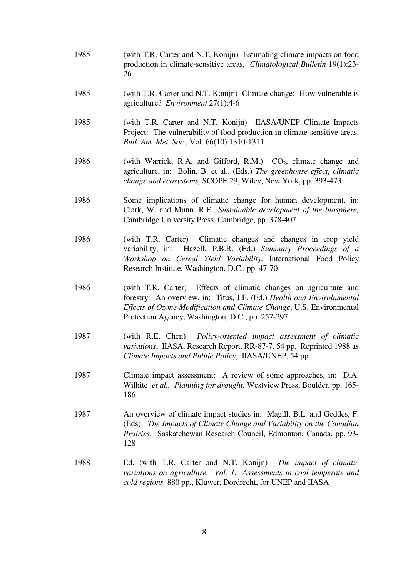- 1985 (with T.R. Carter and N.T. Konijn) Estimating climate impacts on food production in climate-sensitive areas, *Climatological Bulletin* 19(1):23- 26
- 1985 (with T.R. Carter and N.T. Konijn) Climate change: How vulnerable is agriculture? *Environment* 27(1):4-6
- 1985 (with T.R. Carter and N.T. Konijn) IIASA/UNEP Climate Impacts Project: The vulnerability of food production in climate-sensitive areas. *Bull. Am. Met. Soc.*, Vol. 66(10):1310-1311
- 1986 (with Warrick, R.A. and Gifford, R.M.)  $CO<sub>2</sub>$ , climate change and agriculture, in: Bolin, B. et al., (Eds.) *The greenhouse effect, climatic change and ecosystems,* SCOPE 29, Wiley, New York, pp. 393-473
- 1986 Some implications of climatic change for human development, in: Clark, W. and Munn, R.E., *Sustainable development of the biosphere,* Cambridge University Press, Cambridge, pp. 378-407
- 1986 (with T.R. Carter) Climatic changes and changes in crop yield variability, in: Hazell, P.B.R. (Ed.) *Summary Proceedings of a Workshop on Cereal Yield Variability,* International Food Policy Research Institute, Washington, D.C., pp. 47-70
- 1986 (with T.R. Carter) Effects of climatic changes on agriculture and forestry: An overview, in: Titus, J.F. (Ed.) *Health and Envirolnmental Effects of Ozone Modification and Climate Change*, U.S. Environmental Protection Agency, Washington, D.C., pp. 257-297
- 1987 (with R.E. Chen) *Policy-oriented impact assessment of climatic variations*, IIASA, Research Report, RR-87-7, 54 pp. Reprinted 1988 as *Climate Impacts and Public Policy*, IIASA/UNEP, 54 pp.
- 1987 Climate impact assessment: A review of some approaches, in: D.A. Wilhite *et al., Planning for drought,* Westview Press, Boulder, pp. 165- 186
- 1987 An overview of climate impact studies in: Magill, B.L. and Geddes, F. (Eds) *The Impacts of Climate Change and Variability on the Canadian Prairies.* Saskatchewan Research Council, Edmonton, Canada, pp. 93- 128
- 1988 Ed. (with T.R. Carter and N.T. Konijn) *The impact of climatic variations on agriculture. Vol. 1. Assessments in cool temperate and cold regions,* 880 pp., Kluwer, Dordrecht, for UNEP and IIASA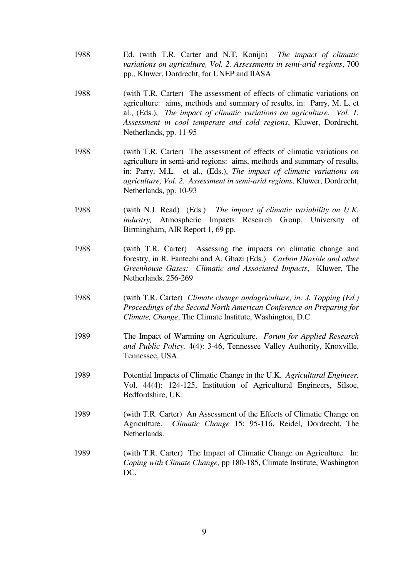- 1988 Ed. (with T.R. Carter and N.T. Konijn) *The impact of climatic variations on agriculture, Vol. 2. Assessments in semi-arid regions*, 700 pp., Kluwer, Dordrecht, for UNEP and IIASA
- 1988 (with T.R. Carter) The assessment of effects of climatic variations on agriculture: aims, methods and summary of results, in: Parry, M. L. et al., (Eds.), *The impact of climatic variations on agriculture. Vol. 1. Assessment in cool temperate and cold regions*, Kluwer, Dordrecht, Netherlands, pp. 11-95
- 1988 (with T.R. Carter) The assessment of effects of climatic variations on agriculture in semi-arid regions: aims, methods and summary of results, in: Parry, M.L. et al., (Eds.), *The impact of climatic variations on agriculture, Vol. 2. Assessment in semi-arid regions*, Kluwer, Dordrecht, Netherlands, pp. 10-93
- 1988 (with N.J. Read) (Eds.) *The impact of climatic variability on U.K. industry,* Atmospheric Impacts Research Group, University of Birmingham, AIR Report 1, 69 pp.
- 1988 (with T.R. Carter) Assessing the impacts on climatic change and forestry, in R. Fantechi and A. Ghazi (Eds.) *Carbon Dioxide and other Greenhouse Gases: Climatic and Associated Impacts*, Kluwer, The Netherlands, 256-269
- 1988 (with T.R. Carter) *Climate change andagriculture, in: J. Topping (Ed.) Proceedings of the Second North American Conference on Preparing for Climate, Change*, The Climate Institute, Washington, D.C.
- 1989 The Impact of Warming on Agriculture. *Forum for Applied Research and Public Policy,* 4(4): 3-46, Tennessee Valley Authority, Knoxville, Tennessee, USA.
- 1989 Potential Impacts of Climatic Change in the U.K. *Agricultural Engineer,*  Vol. 44(4): 124-125, Institution of Agricultural Engineers, Silsoe, Bedfordshire, UK.
- 1989 (with T.R. Carter) An Assessment of the Effects of Climatic Change on Agriculture. *Climatic Change* 15: 95-116, Reidel, Dordrecht, The Netherlands.
- 1989 (with T.R. Carter) The Impact of Climatic Change on Agriculture. In: *Coping with Climate Change,* pp 180-185, Climate Institute, Washington DC.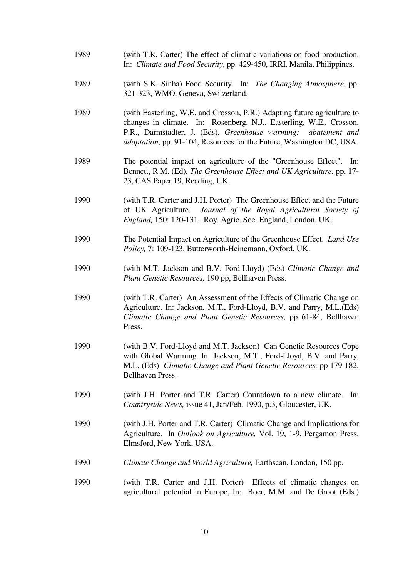| 1989 | (with T.R. Carter) The effect of climatic variations on food production.<br>In: Climate and Food Security, pp. 429-450, IRRI, Manila, Philippines.                                                                                                                                                    |
|------|-------------------------------------------------------------------------------------------------------------------------------------------------------------------------------------------------------------------------------------------------------------------------------------------------------|
| 1989 | (with S.K. Sinha) Food Security. In: The Changing Atmosphere, pp.<br>321-323, WMO, Geneva, Switzerland.                                                                                                                                                                                               |
| 1989 | (with Easterling, W.E. and Crosson, P.R.) Adapting future agriculture to<br>changes in climate. In: Rosenberg, N.J., Easterling, W.E., Crosson,<br>P.R., Darmstadter, J. (Eds), Greenhouse warming:<br>abatement and<br><i>adaptation</i> , pp. 91-104, Resources for the Future, Washington DC, USA. |
| 1989 | The potential impact on agriculture of the "Greenhouse Effect".<br>In:<br>Bennett, R.M. (Ed), The Greenhouse Effect and UK Agriculture, pp. 17-<br>23, CAS Paper 19, Reading, UK.                                                                                                                     |
| 1990 | (with T.R. Carter and J.H. Porter) The Greenhouse Effect and the Future<br>of UK Agriculture. Journal of the Royal Agricultural Society of<br>England, 150: 120-131., Roy. Agric. Soc. England, London, UK.                                                                                           |
| 1990 | The Potential Impact on Agriculture of the Greenhouse Effect. Land Use<br>Policy, 7: 109-123, Butterworth-Heinemann, Oxford, UK.                                                                                                                                                                      |
| 1990 | (with M.T. Jackson and B.V. Ford-Lloyd) (Eds) Climatic Change and<br>Plant Genetic Resources, 190 pp, Bellhaven Press.                                                                                                                                                                                |
| 1990 | (with T.R. Carter) An Assessment of the Effects of Climatic Change on<br>Agriculture. In: Jackson, M.T., Ford-Lloyd, B.V. and Parry, M.L.(Eds)<br>Climatic Change and Plant Genetic Resources, pp 61-84, Bellhaven<br>Press.                                                                          |
| 1990 | (with B.V. Ford-Lloyd and M.T. Jackson) Can Genetic Resources Cope<br>with Global Warming. In: Jackson, M.T., Ford-Lloyd, B.V. and Parry,<br>M.L. (Eds) Climatic Change and Plant Genetic Resources, pp 179-182,<br>Bellhaven Press.                                                                  |
| 1990 | (with J.H. Porter and T.R. Carter) Countdown to a new climate.<br>In:<br>Countryside News, issue 41, Jan/Feb. 1990, p.3, Gloucester, UK.                                                                                                                                                              |
| 1990 | (with J.H. Porter and T.R. Carter) Climatic Change and Implications for<br>Agriculture. In Outlook on Agriculture, Vol. 19, 1-9, Pergamon Press,<br>Elmsford, New York, USA.                                                                                                                          |
| 1990 | Climate Change and World Agriculture, Earthscan, London, 150 pp.                                                                                                                                                                                                                                      |
| 1990 | (with T.R. Carter and J.H. Porter) Effects of climatic changes on<br>agricultural potential in Europe, In: Boer, M.M. and De Groot (Eds.)                                                                                                                                                             |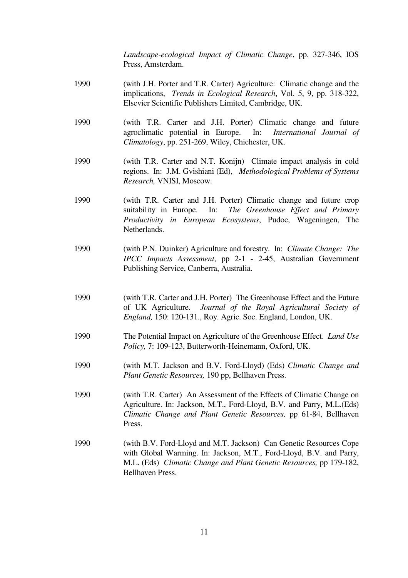*Landscape-ecological Impact of Climatic Change*, pp. 327-346, IOS Press, Amsterdam.

- 1990 (with J.H. Porter and T.R. Carter) Agriculture: Climatic change and the implications, *Trends in Ecological Research*, Vol. 5, 9, pp. 318-322, Elsevier Scientific Publishers Limited, Cambridge, UK.
- 1990 (with T.R. Carter and J.H. Porter) Climatic change and future agroclimatic potential in Europe. In: *International Journal of Climatology*, pp. 251-269, Wiley, Chichester, UK.
- 1990 (with T.R. Carter and N.T. Konijn) Climate impact analysis in cold regions. In: J.M. Gvishiani (Ed), *Methodological Problems of Systems Research,* VNISI, Moscow.
- 1990 (with T.R. Carter and J.H. Porter) Climatic change and future crop suitability in Europe. In: *The Greenhouse Effect and Primary Productivity in European Ecosystems*, Pudoc, Wageningen, The Netherlands.
- 1990 (with P.N. Duinker) Agriculture and forestry. In: *Climate Change: The IPCC Impacts Assessment*, pp 2-1 - 2-45, Australian Government Publishing Service, Canberra, Australia.
- 1990 (with T.R. Carter and J.H. Porter) The Greenhouse Effect and the Future of UK Agriculture. *Journal of the Royal Agricultural Society of England,* 150: 120-131., Roy. Agric. Soc. England, London, UK.
- 1990 The Potential Impact on Agriculture of the Greenhouse Effect. *Land Use Policy,* 7: 109-123, Butterworth-Heinemann, Oxford, UK.
- 1990 (with M.T. Jackson and B.V. Ford-Lloyd) (Eds) *Climatic Change and Plant Genetic Resources,* 190 pp, Bellhaven Press.
- 1990 (with T.R. Carter) An Assessment of the Effects of Climatic Change on Agriculture. In: Jackson, M.T., Ford-Lloyd, B.V. and Parry, M.L.(Eds) *Climatic Change and Plant Genetic Resources,* pp 61-84, Bellhaven Press.
- 1990 (with B.V. Ford-Lloyd and M.T. Jackson) Can Genetic Resources Cope with Global Warming. In: Jackson, M.T., Ford-Lloyd, B.V. and Parry, M.L. (Eds) *Climatic Change and Plant Genetic Resources,* pp 179-182, Bellhaven Press.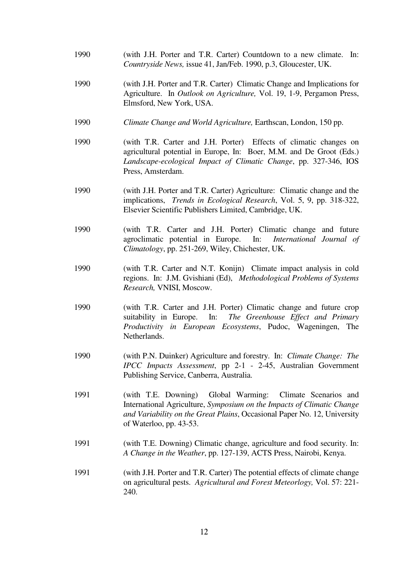- 1990 (with J.H. Porter and T.R. Carter) Countdown to a new climate. In: *Countryside News,* issue 41, Jan/Feb. 1990, p.3, Gloucester, UK.
- 1990 (with J.H. Porter and T.R. Carter) Climatic Change and Implications for Agriculture. In *Outlook on Agriculture,* Vol. 19, 1-9, Pergamon Press, Elmsford, New York, USA.
- 1990 *Climate Change and World Agriculture,* Earthscan, London, 150 pp.
- 1990 (with T.R. Carter and J.H. Porter) Effects of climatic changes on agricultural potential in Europe, In: Boer, M.M. and De Groot (Eds.) *Landscape-ecological Impact of Climatic Change*, pp. 327-346, IOS Press, Amsterdam.
- 1990 (with J.H. Porter and T.R. Carter) Agriculture: Climatic change and the implications, *Trends in Ecological Research*, Vol. 5, 9, pp. 318-322, Elsevier Scientific Publishers Limited, Cambridge, UK.
- 1990 (with T.R. Carter and J.H. Porter) Climatic change and future agroclimatic potential in Europe. In: *International Journal of Climatology*, pp. 251-269, Wiley, Chichester, UK.
- 1990 (with T.R. Carter and N.T. Konijn) Climate impact analysis in cold regions. In: J.M. Gvishiani (Ed), *Methodological Problems of Systems Research,* VNISI, Moscow.
- 1990 (with T.R. Carter and J.H. Porter) Climatic change and future crop suitability in Europe. In: *The Greenhouse Effect and Primary Productivity in European Ecosystems*, Pudoc, Wageningen, The Netherlands.
- 1990 (with P.N. Duinker) Agriculture and forestry. In: *Climate Change: The IPCC Impacts Assessment*, pp 2-1 - 2-45, Australian Government Publishing Service, Canberra, Australia.
- 1991 (with T.E. Downing) Global Warming: Climate Scenarios and International Agriculture, *Symposium on the Impacts of Climatic Change and Variability on the Great Plains*, Occasional Paper No. 12, University of Waterloo, pp. 43-53.
- 1991 (with T.E. Downing) Climatic change, agriculture and food security. In: *A Change in the Weather*, pp. 127-139, ACTS Press, Nairobi, Kenya.
- 1991 (with J.H. Porter and T.R. Carter) The potential effects of climate change on agricultural pests. *Agricultural and Forest Meteorlogy,* Vol. 57: 221- 240.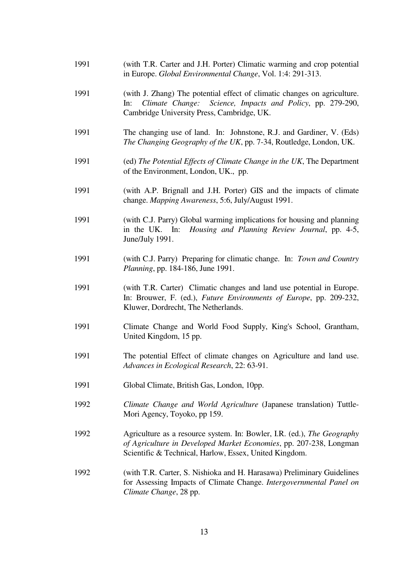- 1991 (with T.R. Carter and J.H. Porter) Climatic warming and crop potential in Europe. *Global Environmental Change*, Vol. 1:4: 291-313.
- 1991 (with J. Zhang) The potential effect of climatic changes on agriculture. In: *Climate Change: Science, Impacts and Policy*, pp. 279-290, Cambridge University Press, Cambridge, UK.
- 1991 The changing use of land. In: Johnstone, R.J. and Gardiner, V. (Eds) *The Changing Geography of the UK*, pp. 7-34, Routledge, London, UK.
- 1991 (ed) *The Potential Effects of Climate Change in the UK*, The Department of the Environment, London, UK., pp.
- 1991 (with A.P. Brignall and J.H. Porter) GIS and the impacts of climate change. *Mapping Awareness*, 5:6, July/August 1991.
- 1991 (with C.J. Parry) Global warming implications for housing and planning in the UK. In: *Housing and Planning Review Journal*, pp. 4-5, June/July 1991.
- 1991 (with C.J. Parry) Preparing for climatic change. In: *Town and Country Planning*, pp. 184-186, June 1991.
- 1991 (with T.R. Carter) Climatic changes and land use potential in Europe. In: Brouwer, F. (ed.), *Future Environments of Europe*, pp. 209-232, Kluwer, Dordrecht, The Netherlands.
- 1991 Climate Change and World Food Supply, King's School, Grantham, United Kingdom, 15 pp.
- 1991 The potential Effect of climate changes on Agriculture and land use. *Advances in Ecological Research*, 22: 63-91.
- 1991 Global Climate, British Gas, London, 10pp.
- 1992 *Climate Change and World Agriculture* (Japanese translation) Tuttle-Mori Agency, Toyoko, pp 159.
- 1992 Agriculture as a resource system. In: Bowler, I.R. (ed.), *The Geography of Agriculture in Developed Market Economies*, pp. 207-238, Longman Scientific & Technical, Harlow, Essex, United Kingdom.
- 1992 (with T.R. Carter, S. Nishioka and H. Harasawa) Preliminary Guidelines for Assessing Impacts of Climate Change. *Intergovernmental Panel on Climate Change*, 28 pp.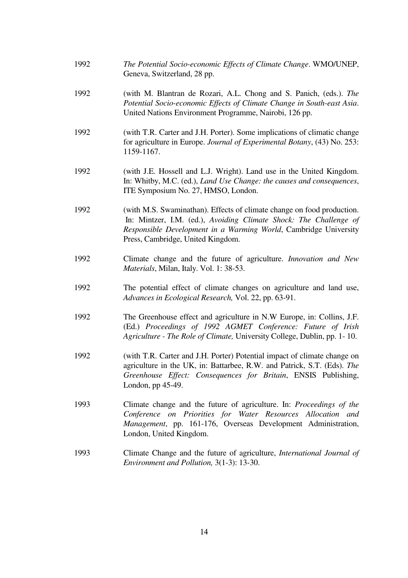- 1992 *The Potential Socio-economic Effects of Climate Change*. WMO/UNEP, Geneva, Switzerland, 28 pp.
- 1992 (with M. Blantran de Rozari, A.L. Chong and S. Panich, (eds.). *The Potential Socio-economic Effects of Climate Change in South-east Asia*. United Nations Environment Programme, Nairobi, 126 pp.
- 1992 (with T.R. Carter and J.H. Porter). Some implications of climatic change for agriculture in Europe. *Journal of Experimental Botany*, (43) No. 253: 1159-1167.
- 1992 (with J.E. Hossell and L.J. Wright). Land use in the United Kingdom. In: Whitby, M.C. (ed.), *Land Use Change: the causes and consequences*, ITE Symposium No. 27, HMSO, London.
- 1992 (with M.S. Swaminathan). Effects of climate change on food production. In: Mintzer, I.M. (ed.), *Avoiding Climate Shock: The Challenge of Responsible Development in a Warming World*, Cambridge University Press, Cambridge, United Kingdom.
- 1992 Climate change and the future of agriculture. *Innovation and New Materials*, Milan, Italy. Vol. 1: 38-53.
- 1992 The potential effect of climate changes on agriculture and land use, *Advances in Ecological Research,* Vol. 22, pp. 63-91.
- 1992 The Greenhouse effect and agriculture in N.W Europe, in: Collins, J.F. (Ed.) *Proceedings of 1992 AGMET Conference: Future of Irish Agriculture - The Role of Climate,* University College, Dublin, pp. 1- 10.
- 1992 (with T.R. Carter and J.H. Porter) Potential impact of climate change on agriculture in the UK, in: Battarbee, R.W. and Patrick, S.T. (Eds). *The Greenhouse Effect: Consequences for Britain*, ENSIS Publishing, London, pp 45-49.
- 1993 Climate change and the future of agriculture. In: *Proceedings of the Conference on Priorities for Water Resources Allocation and Management*, pp. 161-176, Overseas Development Administration, London, United Kingdom.
- 1993 Climate Change and the future of agriculture, *International Journal of Environment and Pollution,* 3(1-3): 13-30.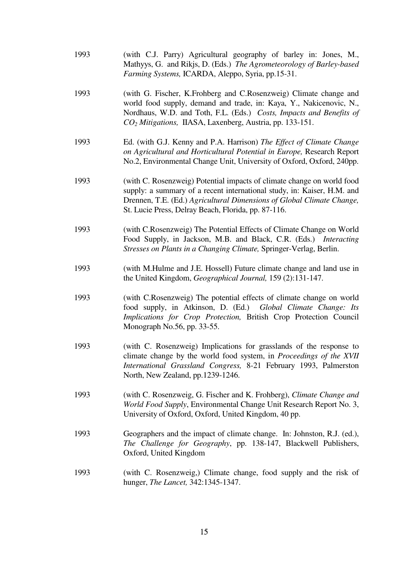- 1993 (with C.J. Parry) Agricultural geography of barley in: Jones, M., Mathyys, G. and Rikjs, D. (Eds.) *The Agrometeorology of Barley-based Farming Systems,* ICARDA, Aleppo, Syria, pp.15-31.
- 1993 (with G. Fischer, K.Frohberg and C.Rosenzweig) Climate change and world food supply, demand and trade, in: Kaya, Y., Nakicenovic, N., Nordhaus, W.D. and Toth, F.L. (Eds.) *Costs, Impacts and Benefits of CO2 Mitigations,* IIASA, Laxenberg, Austria, pp. 133-151.
- 1993 Ed. (with G.J. Kenny and P.A. Harrison) *The Effect of Climate Change on Agricultural and Horticultural Potential in Europe,* Research Report No.2, Environmental Change Unit, University of Oxford, Oxford, 240pp.
- 1993 (with C. Rosenzweig) Potential impacts of climate change on world food supply: a summary of a recent international study, in: Kaiser, H.M. and Drennen, T.E. (Ed.) *Agricultural Dimensions of Global Climate Change,*  St. Lucie Press, Delray Beach, Florida, pp. 87-116.
- 1993 (with C.Rosenzweig) The Potential Effects of Climate Change on World Food Supply, in Jackson, M.B. and Black, C.R. (Eds.) *Interacting Stresses on Plants in a Changing Climate,* Springer-Verlag, Berlin.
- 1993 (with M.Hulme and J.E. Hossell) Future climate change and land use in the United Kingdom, *Geographical Journal,* 159 (2):131-147.
- 1993 (with C.Rosenzweig) The potential effects of climate change on world food supply, in Atkinson, D. (Ed.) *Global Climate Change: Its Implications for Crop Protection,* British Crop Protection Council Monograph No.56, pp. 33-55.
- 1993 (with C. Rosenzweig) Implications for grasslands of the response to climate change by the world food system, in *Proceedings of the XVII International Grassland Congress,* 8-21 February 1993, Palmerston North, New Zealand, pp.1239-1246.
- 1993 (with C. Rosenzweig, G. Fischer and K. Frohberg), *Climate Change and World Food Supply*, Environmental Change Unit Research Report No. 3, University of Oxford, Oxford, United Kingdom, 40 pp.
- 1993 Geographers and the impact of climate change. In: Johnston, R.J. (ed.), *The Challenge for Geography*, pp. 138-147, Blackwell Publishers, Oxford, United Kingdom
- 1993 (with C. Rosenzweig,) Climate change, food supply and the risk of hunger, *The Lancet,* 342:1345-1347.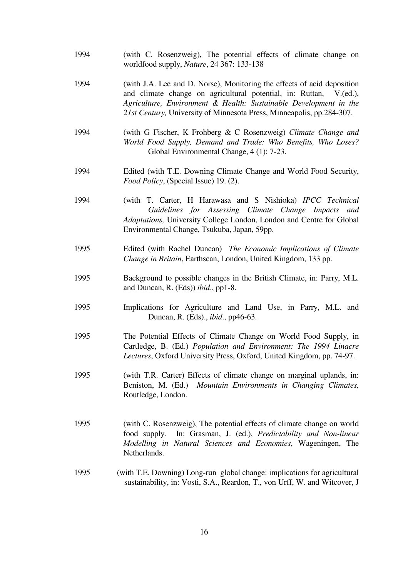| 1994 | (with C. Rosenzweig), The potential effects of climate change on<br>worldfood supply, Nature, 24 367: 133-138                                                                                                                                                                               |
|------|---------------------------------------------------------------------------------------------------------------------------------------------------------------------------------------------------------------------------------------------------------------------------------------------|
| 1994 | (with J.A. Lee and D. Norse), Monitoring the effects of acid deposition<br>and climate change on agricultural potential, in: Ruttan, V.(ed.),<br>Agriculture, Environment & Health: Sustainable Development in the<br>21st Century, University of Minnesota Press, Minneapolis, pp.284-307. |
| 1994 | (with G Fischer, K Frohberg & C Rosenzweig) Climate Change and<br>World Food Supply, Demand and Trade: Who Benefits, Who Loses?<br>Global Environmental Change, 4 (1): 7-23.                                                                                                                |
| 1994 | Edited (with T.E. Downing Climate Change and World Food Security,<br>Food Policy, (Special Issue) 19. (2).                                                                                                                                                                                  |
| 1994 | (with T. Carter, H Harawasa and S Nishioka) IPCC Technical<br>Guidelines for Assessing Climate Change Impacts and<br>Adaptations, University College London, London and Centre for Global<br>Environmental Change, Tsukuba, Japan, 59pp.                                                    |
| 1995 | Edited (with Rachel Duncan) The Economic Implications of Climate<br>Change in Britain, Earthscan, London, United Kingdom, 133 pp.                                                                                                                                                           |
| 1995 | Background to possible changes in the British Climate, in: Parry, M.L.<br>and Duncan, R. (Eds)) <i>ibid.</i> , pp1-8.                                                                                                                                                                       |
| 1995 | Implications for Agriculture and Land Use, in Parry, M.L. and<br>Duncan, R. (Eds)., <i>ibid.</i> , pp46-63.                                                                                                                                                                                 |
| 1995 | The Potential Effects of Climate Change on World Food Supply, in<br>Cartledge, B. (Ed.) Population and Environment: The 1994 Linacre<br>Lectures, Oxford University Press, Oxford, United Kingdom, pp. 74-97.                                                                               |
| 1995 | (with T.R. Carter) Effects of climate change on marginal uplands, in:<br>Beniston, M. (Ed.) Mountain Environments in Changing Climates,<br>Routledge, London.                                                                                                                               |
| 1995 | (with C. Rosenzweig), The potential effects of climate change on world<br>In: Grasman, J. (ed.), Predictability and Non-linear<br>food supply.<br>Modelling in Natural Sciences and Economies, Wageningen, The<br>Netherlands.                                                              |
| 1995 | (with T.E. Downing) Long-run global change: implications for agricultural<br>sustainability, in: Vosti, S.A., Reardon, T., von Urff, W. and Witcover, J                                                                                                                                     |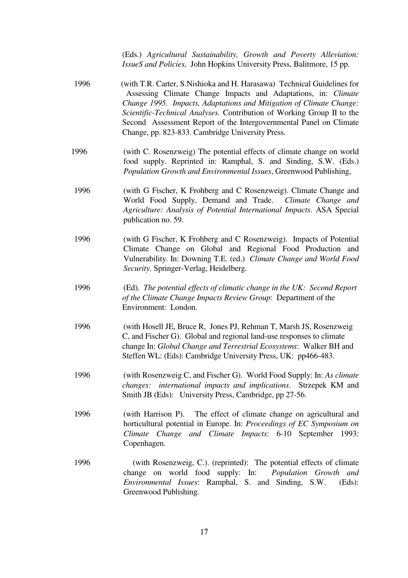(Eds.) *Agricultural Sustainability, Growth and Poverty Alleviation: IssueS and Policies,* John Hopkins University Press, Balitmore, 15 pp.

- 1996 (with T.R. Carter, S.Nishioka and H. Harasawa) Technical Guidelines for Assessing Climate Change Impacts and Adaptations, in: *Climate Change 1995. Impacts, Adaptations and Mitigation of Climate Change: Scientific-Technical Analyses.* Contribution of Working Group II to the Second Assessment Report of the Intergovernmental Panel on Climate Change, pp. 823-833. Cambridge University Press.
- 1996 (with C. Rosenzweig) The potential effects of climate change on world food supply. Reprinted in: Ramphal, S. and Sinding, S.W. (Eds.) *Population Growth and Environmental Issues*, Greenwood Publishing,
- 1996 (with G Fischer, K Frohberg and C Rosenzweig). Climate Change and World Food Supply, Demand and Trade. *Climate Change and Agriculture: Analysis of Potential International Impacts*. ASA Special publication no. 59.
- 1996 (with G Fischer, K Frohberg and C Rosenzweig). Impacts of Potential Climate Change on Global and Regional Food Production and Vulnerability. In: Downing T.E. (ed.) *Climate Change and World Food Security.* Springer-Verlag, Heidelberg.
- 1996 (Ed). *The potential effects of climatic change in the UK: Second Report of the Climate Change Impacts Review Group*: Department of the Environment: London.
- 1996 (with Hosell JE, Bruce R, Jones PJ, Rehman T, Marsh JS, Rosenzweig C, and Fischer G). Global and regional land-use responses to climate change In: *Global Change and Terrestrial Ecosystems*: Walker BH and Steffen WL: (Eds): Cambridge University Press, UK: pp466-483.
- 1996 (with Rosenzweig C, and Fischer G). World Food Supply: In: *As climate changes: international impacts and implications*. Strzepek KM and Smith JB (Eds): University Press, Cambridge, pp 27-56.
- 1996 (with Harrison P). The effect of climate change on agricultural and horticultural potential in Europe. In: *Proceedings of EC Symposium on Climate Change and Climate Impacts*: 6-10 September 1993: Copenhagen.
- 1996 (with Rosenzweig, C.). (reprinted): The potential effects of climate change on world food supply: In: *Population Growth and Environmental Issues*: Ramphal, S. and Sinding, S.W. (Eds): Greenwood Publishing.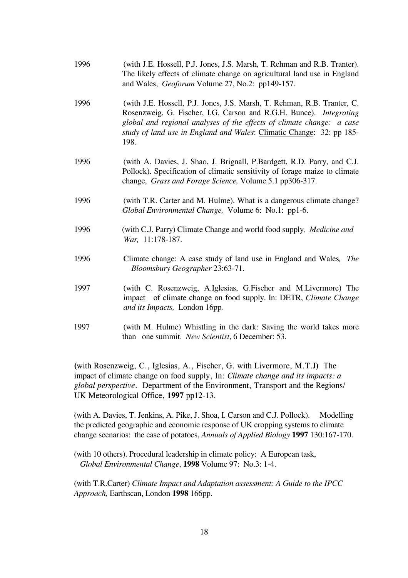- 1996 (with J.E. Hossell, P.J. Jones, J.S. Marsh, T. Rehman and R.B. Tranter). The likely effects of climate change on agricultural land use in England and Wales, *Geoforum* Volume 27, No.2: pp149-157.
- 1996 (with J.E. Hossell, P.J. Jones, J.S. Marsh, T. Rehman, R.B. Tranter, C. Rosenzweig, G. Fischer, I.G. Carson and R.G.H. Bunce). *Integrating global and regional analyses of the effects of climate change: a case study of land use in England and Wales*: Climatic Change: 32: pp 185- 198.
- 1996 (with A. Davies, J. Shao, J. Brignall, P.Bardgett, R.D. Parry, and C.J. Pollock). Specification of climatic sensitivity of forage maize to climate change, *Grass and Forage Science,* Volume 5.1 pp306-317.
- 1996 (with T.R. Carter and M. Hulme). What is a dangerous climate change? *Global Environmental Change,* Volume 6: No.1: pp1-6.
- 1996 (with C.J. Parry) Climate Change and world food supply*, Medicine and War,* 11:178-187.
- 1996 Climate change: A case study of land use in England and Wales*, The Bloomsbury Geographer* 23:63-71.
- 1997 (with C. Rosenzweig, A.Iglesias, G.Fischer and M.Livermore) The impact of climate change on food supply. In: DETR, *Climate Change and its Impacts,* London 16pp*.*
- 1997 (with M. Hulme) Whistling in the dark: Saving the world takes more than one summit. *New Scientist*, 6 December: 53.

(with Rosenzweig, C., Iglesias, A., Fischer, G. with Livermore, M.T.J) The impact of climate change on food supply, In: *Climate change and its impacts: a* global perspective. Department of the Environment, Transport and the Regions/ UK Meteorological Office, 1997 pp12-13.

(with A. Davies, T. Jenkins, A. Pike, J. Shoa, I. Carson and C.J. Pollock). Modelling the predicted geographic and economic response of UK cropping systems to climate change scenarios: the case of potatoes, *Annuals of Applied Biology* **1997** 130:167-170.

(with 10 others). Procedural leadership in climate policy: A European task, *Global Environmental Change*, **1998** Volume 97: No.3: 1-4.

(with T.R.Carter) *Climate Impact and Adaptation assessment: A Guide to the IPCC Approach,* Earthscan, London **1998** 166pp.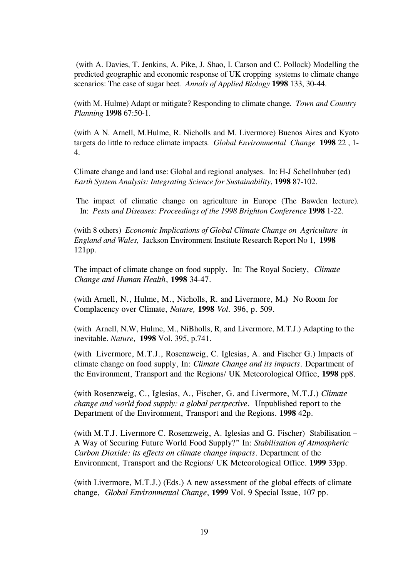(with A. Davies, T. Jenkins, A. Pike, J. Shao, I. Carson and C. Pollock) Modelling the predicted geographic and economic response of UK cropping systems to climate change scenarios: The case of sugar beet*. Annals of Applied Biology* **1998** 133, 30-44.

(with M. Hulme) Adapt or mitigate? Responding to climate change*. Town and Country Planning* **1998** 67:50-1.

(with A N. Arnell, M.Hulme, R. Nicholls and M. Livermore) Buenos Aires and Kyoto targets do little to reduce climate impacts*. Global Environmental Change* **1998** 22 , 1- 4.

Climate change and land use: Global and regional analyses. In: H-J Schellnhuber (ed) *Earth System Analysis: Integrating Science for Sustainability*, **1998** 87-102.

 The impact of climatic change on agriculture in Europe (The Bawden lecture)*.* In: *Pests and Diseases: Proceedings of the 1998 Brighton Conference* **1998** 1-22.

(with 8 others) *Economic Implications of Global Climate Change on Agriculture in England and Wales,* Jackson Environment Institute Research Report No 1, **1998**  121pp.

The impact of climate change on food supply. In: The Royal Society, *Climate* Change and Human Health, 1998 34-47.

(with Arnell, N., Hulme, M., Nicholls, R. and Livermore, M.) No Room for Complacency over Climate, Nature, 1998 Vol. 396, p. 509.

(with Arnell, N.W, Hulme, M., NiBholls, R, and Livermore, M.T.J.) Adapting to the inevitable. *Nature*, **1998** Vol. 395, p.741.

(with Livermore, M.T.J., Rosenzweig, C. Iglesias, A. and Fischer G.) Impacts of climate change on food supply, In: Climate Change and its impacts. Department of the Environment, Transport and the Regions/ UK Meteorological Office, 1998 pp8.

(with Rosenzweig, C., Iglesias, A., Fischer, G. and Livermore, M.T.J.) Climate change and world food supply: a global perspective. Unpublished report to the Department of the Environment, Transport and the Regions. 1998 42p.

(with M.T.J. Livermore C. Rosenzweig, A. Iglesias and G. Fischer) Stabilisation – A Way of Securing Future World Food Supply?" In: Stabilisation of Atmospheric Carbon Dioxide: its effects on climate change impacts. Department of the Environment, Transport and the Regions/ UK Meteorological Office. 1999 33pp.

(with Livermore, M.T.J.) (Eds.) A new assessment of the global effects of climate change, Global Environmental Change, 1999 Vol. 9 Special Issue, 107 pp.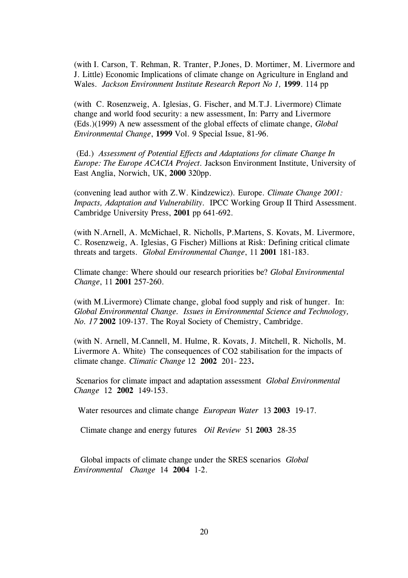(with I. Carson, T. Rehman, R. Tranter, P.Jones, D. Mortimer, M. Livermore and J. Little) Economic Implications of climate change on Agriculture in England and Wales. Jackson Environment Institute Research Report No 1, 1999. 114 pp

(with C. Rosenzweig, A. Iglesias, G. Fischer, and M.T.J. Livermore) Climate change and world food security: a new assessment, In: Parry and Livermore (Eds.)(1999) A new assessment of the global effects of climate change, Global Environmental Change, 1999 Vol. 9 Special Issue, 81-96.

 (Ed.) Assessment of Potential Effects and Adaptations for climate Change In Europe: The Europe ACACIA Project. Jackson Environment Institute, University of East Anglia, Norwich, UK, 2000 320pp.

(convening lead author with  $Z.W.$  Kindzewicz). Europe. *Climate Change 2001*: Impacts, Adaptation and Vulnerability. IPCC Working Group II Third Assessment. Cambridge University Press, 2001 pp 641-692.

(with N.Arnell, A. McMichael, R. Nicholls, P.Martens, S. Kovats, M. Livermore, C. Rosenzweig, A. Iglesias, G Fischer) Millions at Risk: Defining critical climate threats and targets. Global Environmental Change, 11 2001 181-183.

Climate change: Where should our research priorities be? Global Environmental Change, 11 2001 257-260.

(with M.Livermore) Climate change, global food supply and risk of hunger. In: Global Environmental Change. Issues in Environmental Science and Technology, No. 17 2002 109-137. The Royal Society of Chemistry, Cambridge.

(with N. Arnell, M.Cannell, M. Hulme, R. Kovats, J. Mitchell, R. Nicholls, M. Livermore A. White) The consequences of CO2 stabilisation for the impacts of climate change. Climatic Change 12 2002 201- 223.

 Scenarios for climate impact and adaptation assessment Global Environmental Change 12 2002 149-153.

Water resources and climate change European Water 13 2003 19-17.

Climate change and energy futures Oil Review 51 2003 28-35

 Global impacts of climate change under the SRES scenarios Global Environmental Change 14 2004 1-2.